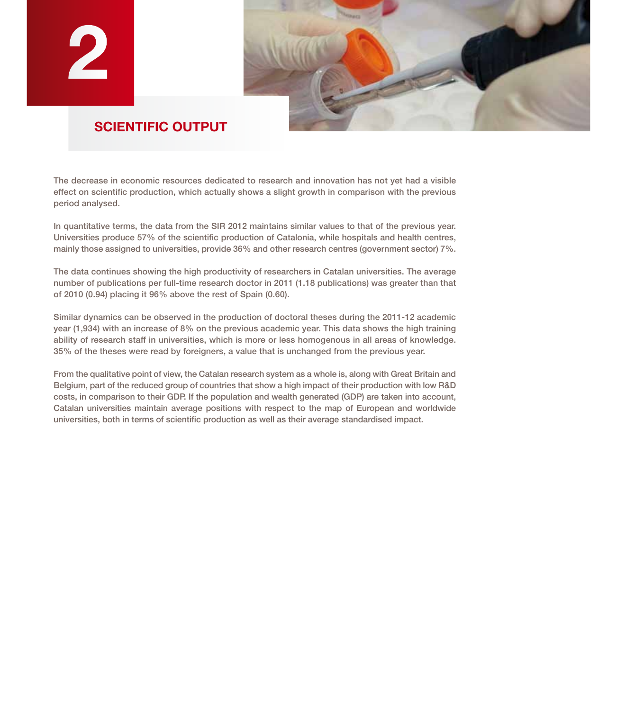

# **SCIENTIFIC OUTPUT**

The decrease in economic resources dedicated to research and innovation has not yet had a visible effect on scientific production, which actually shows a slight growth in comparison with the previous period analysed.

In quantitative terms, the data from the SIR 2012 maintains similar values to that of the previous year. Universities produce 57% of the scientific production of Catalonia, while hospitals and health centres, mainly those assigned to universities, provide 36% and other research centres (government sector) 7%.

The data continues showing the high productivity of researchers in Catalan universities. The average number of publications per full-time research doctor in 2011 (1.18 publications) was greater than that of 2010 (0.94) placing it 96% above the rest of Spain (0.60).

Similar dynamics can be observed in the production of doctoral theses during the 2011-12 academic year (1,934) with an increase of 8% on the previous academic year. This data shows the high training ability of research staff in universities, which is more or less homogenous in all areas of knowledge. 35% of the theses were read by foreigners, a value that is unchanged from the previous year.

From the qualitative point of view, the Catalan research system as a whole is, along with Great Britain and Belgium, part of the reduced group of countries that show a high impact of their production with low R&D costs, in comparison to their GDP. If the population and wealth generated (GDP) are taken into account, Catalan universities maintain average positions with respect to the map of European and worldwide universities, both in terms of scientific production as well as their average standardised impact.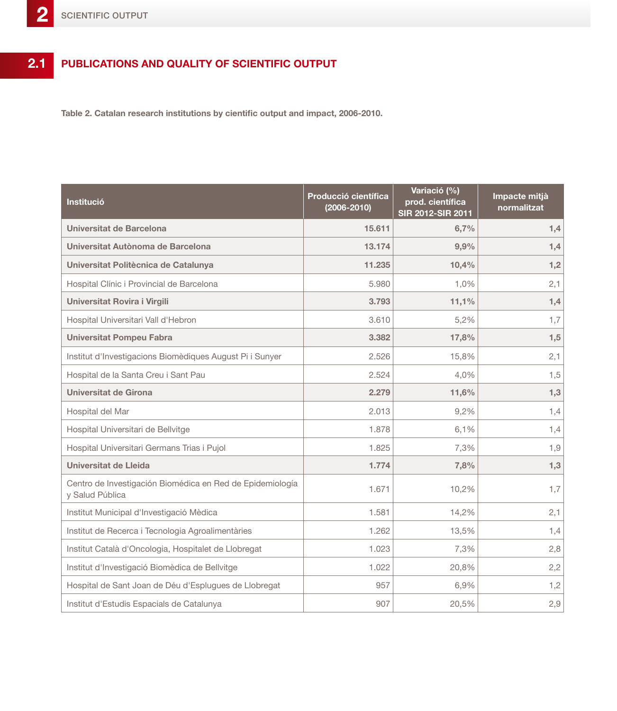#### **Publications and quality of scientific output 2.1**

**Table 2. Catalan research institutions by cientific output and impact, 2006-2010.**

| Institució                                                                   | Producció científica<br>$(2006 - 2010)$ | Variació (%)<br>prod. científica<br>SIR 2012-SIR 2011 | Impacte mitjà<br>normalitzat |
|------------------------------------------------------------------------------|-----------------------------------------|-------------------------------------------------------|------------------------------|
| Universitat de Barcelona                                                     | 15.611                                  | 6,7%                                                  | 1,4                          |
| Universitat Autònoma de Barcelona                                            | 13.174                                  | 9,9%                                                  | 1,4                          |
| Universitat Politècnica de Catalunya                                         | 11.235                                  | 10,4%                                                 | 1,2                          |
| Hospital Clínic i Provincial de Barcelona                                    | 5.980                                   | 1,0%                                                  | 2,1                          |
| Universitat Rovira i Virgili                                                 | 3.793                                   | 11,1%                                                 | 1,4                          |
| Hospital Universitari Vall d'Hebron                                          | 3.610                                   | 5,2%                                                  | 1,7                          |
| <b>Universitat Pompeu Fabra</b>                                              | 3.382                                   | 17,8%                                                 | 1,5                          |
| Institut d'Investigacions Biomèdiques August Pi i Sunyer                     | 2.526                                   | 15,8%                                                 | 2,1                          |
| Hospital de la Santa Creu i Sant Pau                                         | 2.524                                   | 4,0%                                                  | 1,5                          |
| Universitat de Girona                                                        | 2.279                                   | 11,6%                                                 | 1,3                          |
| Hospital del Mar                                                             | 2.013                                   | 9,2%                                                  | 1,4                          |
| Hospital Universitari de Bellvitge                                           | 1.878                                   | 6,1%                                                  | 1,4                          |
| Hospital Universitari Germans Trias i Pujol                                  | 1.825                                   | 7,3%                                                  | 1,9                          |
| <b>Universitat de Lleida</b>                                                 | 1.774                                   | 7,8%                                                  | 1,3                          |
| Centro de Investigación Biomédica en Red de Epidemiología<br>y Salud Pública | 1.671                                   | 10,2%                                                 | 1,7                          |
| Institut Municipal d'Investigació Mèdica                                     | 1.581                                   | 14,2%                                                 | 2,1                          |
| Institut de Recerca i Tecnologia Agroalimentàries                            | 1.262                                   | 13,5%                                                 | 1,4                          |
| Institut Català d'Oncologia, Hospitalet de Llobregat                         | 1.023                                   | 7,3%                                                  | 2,8                          |
| Institut d'Investigació Biomèdica de Bellvitge                               | 1.022                                   | 20,8%                                                 | 2,2                          |
| Hospital de Sant Joan de Déu d'Esplugues de Llobregat                        | 957                                     | 6,9%                                                  | 1,2                          |
| Institut d'Estudis Espacials de Catalunya                                    | 907                                     | 20,5%                                                 | 2,9                          |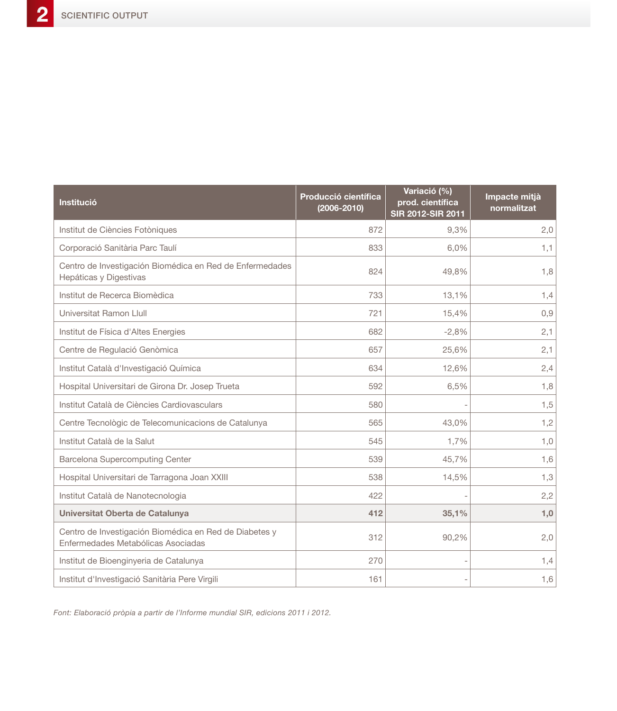| Institució                                                                                   | Producció científica<br>$(2006 - 2010)$ | Variació (%)<br>prod. científica<br>SIR 2012-SIR 2011 | Impacte mitjà<br>normalitzat |
|----------------------------------------------------------------------------------------------|-----------------------------------------|-------------------------------------------------------|------------------------------|
| Institut de Ciències Fotòniques                                                              | 872                                     | 9,3%                                                  | 2,0                          |
| Corporació Sanitària Parc Taulí                                                              | 833                                     | 6,0%                                                  | 1,1                          |
| Centro de Investigación Biomédica en Red de Enfermedades<br>Hepáticas y Digestivas           | 824                                     | 49,8%                                                 | 1,8                          |
| Institut de Recerca Biomèdica                                                                | 733                                     | 13,1%                                                 | 1,4                          |
| Universitat Ramon Llull                                                                      | 721                                     | 15,4%                                                 | 0,9                          |
| Institut de Física d'Altes Energies                                                          | 682                                     | $-2,8%$                                               | 2,1                          |
| Centre de Regulació Genòmica                                                                 | 657                                     | 25,6%                                                 | 2,1                          |
| Institut Català d'Investigació Química                                                       | 634                                     | 12,6%                                                 | 2,4                          |
| Hospital Universitari de Girona Dr. Josep Trueta                                             | 592                                     | 6,5%                                                  | 1,8                          |
| Institut Català de Ciències Cardiovasculars                                                  | 580                                     |                                                       | 1,5                          |
| Centre Tecnològic de Telecomunicacions de Catalunya                                          | 565                                     | 43,0%                                                 | 1,2                          |
| Institut Català de la Salut                                                                  | 545                                     | 1,7%                                                  | 1,0                          |
| <b>Barcelona Supercomputing Center</b>                                                       | 539                                     | 45,7%                                                 | 1,6                          |
| Hospital Universitari de Tarragona Joan XXIII                                                | 538                                     | 14,5%                                                 | 1,3                          |
| Institut Català de Nanotecnologia                                                            | 422                                     |                                                       | 2,2                          |
| Universitat Oberta de Catalunya                                                              | 412                                     | 35,1%                                                 | 1,0                          |
| Centro de Investigación Biomédica en Red de Diabetes y<br>Enfermedades Metabólicas Asociadas | 312                                     | 90,2%                                                 | 2,0                          |
| Institut de Bioenginyeria de Catalunya                                                       | 270                                     |                                                       | 1,4                          |
| Institut d'Investigació Sanitària Pere Virgili                                               | 161                                     |                                                       | 1,6                          |

*Font: Elaboració pròpia a partir de l'Informe mundial SIR, edicions 2011 i 2012.*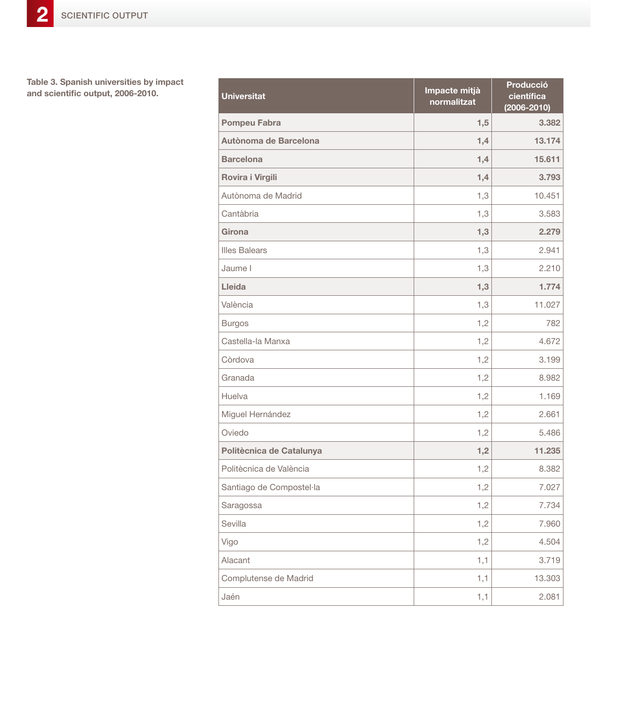**Table 3. Spanish universities by impact**  and scientific output, 2006-2010.

| <b>Universitat</b>       | Impacte mitjà<br>normalitzat | Producció<br>científica<br>$(2006 - 2010)$ |
|--------------------------|------------------------------|--------------------------------------------|
| <b>Pompeu Fabra</b>      | 1,5                          | 3.382                                      |
| Autònoma de Barcelona    | 1,4                          | 13.174                                     |
| <b>Barcelona</b>         | 1,4                          | 15.611                                     |
| Rovira i Virgili         | 1,4                          | 3.793                                      |
| Autònoma de Madrid       | 1,3                          | 10.451                                     |
| Cantàbria                | 1,3                          | 3.583                                      |
| Girona                   | 1,3                          | 2.279                                      |
| <b>Illes Balears</b>     | 1,3                          | 2.941                                      |
| Jaume I                  | 1,3                          | 2.210                                      |
| Lleida                   | 1,3                          | 1.774                                      |
| València                 | 1,3                          | 11.027                                     |
| <b>Burgos</b>            | 1,2                          | 782                                        |
| Castella-la Manxa        | 1,2                          | 4.672                                      |
| Còrdova                  | 1,2                          | 3.199                                      |
| Granada                  | 1,2                          | 8.982                                      |
| Huelva                   | 1,2                          | 1.169                                      |
| Miguel Hernández         | 1,2                          | 2.661                                      |
| Oviedo                   | 1,2                          | 5.486                                      |
| Politècnica de Catalunya | 1,2                          | 11.235                                     |
| Politècnica de València  | 1,2                          | 8.382                                      |
| Santiago de Compostel·la | 1,2                          | 7.027                                      |
| Saragossa                | 1,2                          | 7.734                                      |
| Sevilla                  | 1,2                          | 7.960                                      |
| Vigo                     | 1,2                          | 4.504                                      |
| Alacant                  | 1,1                          | 3.719                                      |
| Complutense de Madrid    | 1,1                          | 13.303                                     |
| Jaén                     | 1,1                          | 2.081                                      |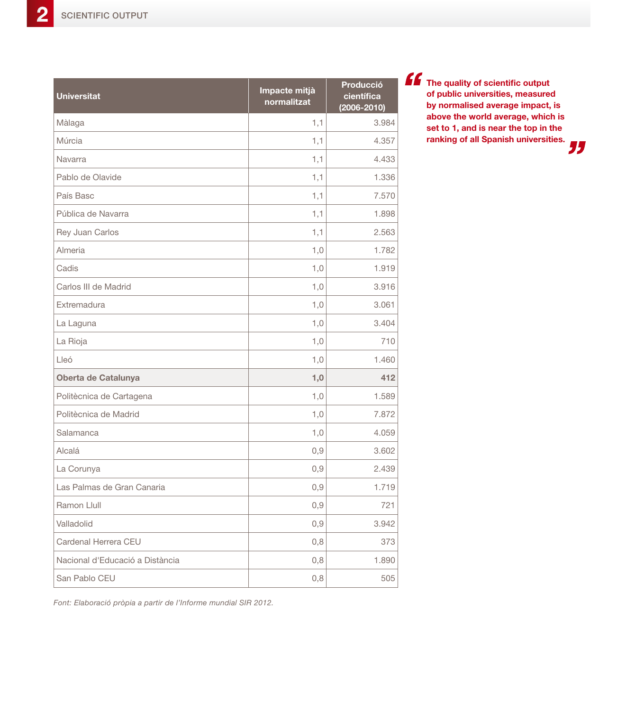| <b>Universitat</b>              | Impacte mitjà<br>normalitzat | Producció<br>científica<br>$(2006 - 2010)$ |
|---------------------------------|------------------------------|--------------------------------------------|
| Màlaga                          | 1,1                          | 3.984                                      |
| Múrcia                          | 1,1                          | 4.357                                      |
| Navarra                         | 1,1                          | 4.433                                      |
| Pablo de Olavide                | 1,1                          | 1.336                                      |
| País Basc                       | 1,1                          | 7.570                                      |
| Pública de Navarra              | 1,1                          | 1.898                                      |
| Rey Juan Carlos                 | 1,1                          | 2.563                                      |
| Almeria                         | 1,0                          | 1.782                                      |
| Cadis                           | 1,0                          | 1.919                                      |
| Carlos III de Madrid            | 1,0                          | 3.916                                      |
| Extremadura                     | 1,0                          | 3.061                                      |
| La Laguna                       | 1,0                          | 3.404                                      |
| La Rioja                        | 1,0                          | 710                                        |
| Lleó                            | 1,0                          | 1.460                                      |
| Oberta de Catalunya             | 1,0                          | 412                                        |
| Politècnica de Cartagena        | 1,0                          | 1.589                                      |
| Politècnica de Madrid           | 1,0                          | 7.872                                      |
| Salamanca                       | 1,0                          | 4.059                                      |
| Alcalá                          | 0,9                          | 3.602                                      |
| La Corunya                      | 0,9                          | 2.439                                      |
| Las Palmas de Gran Canaria      | 0,9                          | 1.719                                      |
| Ramon Llull                     | 0,9                          | 721                                        |
| Valladolid                      | 0,9                          | 3.942                                      |
| Cardenal Herrera CEU            | 0,8                          | 373                                        |
| Nacional d'Educació a Distància | 0,8                          | 1.890                                      |
| San Pablo CEU                   | 0,8                          | 505                                        |

**The quality of scientific output of public universities, measured by normalised average impact, is above the world average, which is set to 1, and is near the top in the ranking of all Spanish universities.**

"

*Font: Elaboració pròpia a partir de l'Informe mundial SIR 2012.*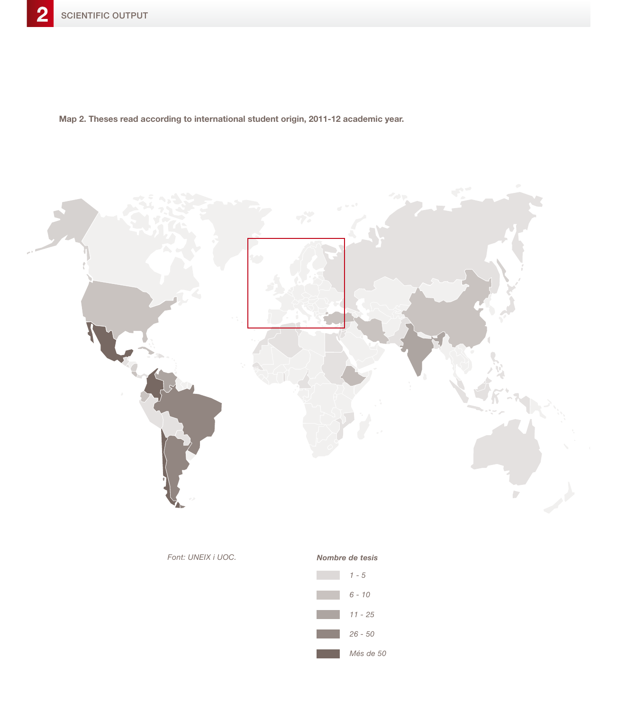**Map 2. Theses read according to international student origin, 2011-12 academic year.**



### *Font: UNEIX i UOC. Nombre de tesis*

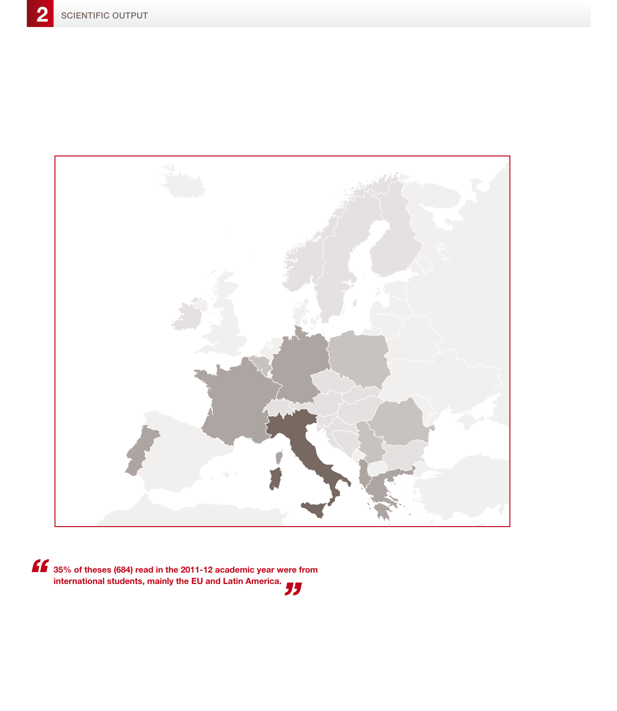

**35% of theses (684) read in the 2011-12 academic year were from international students, mainly the EU and Latin America.**<br> **international students, mainly the EU and Latin America.**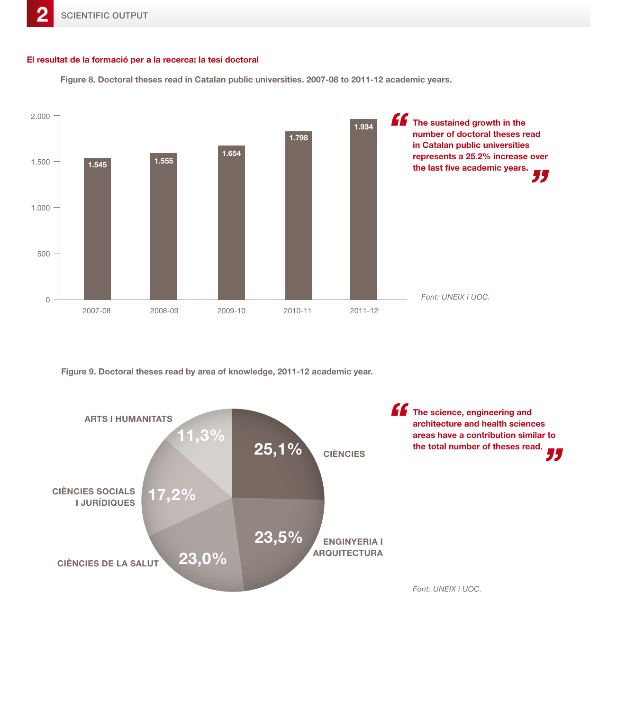### **El resultat de la formació per a la recerca: la tesi doctoral**

**Figure 8. Doctoral theses read in Catalan public universities. 2007-08 to 2011-12 academic years.**



**Figure 9. Doctoral theses read by area of knowledge, 2011-12 academic year.**

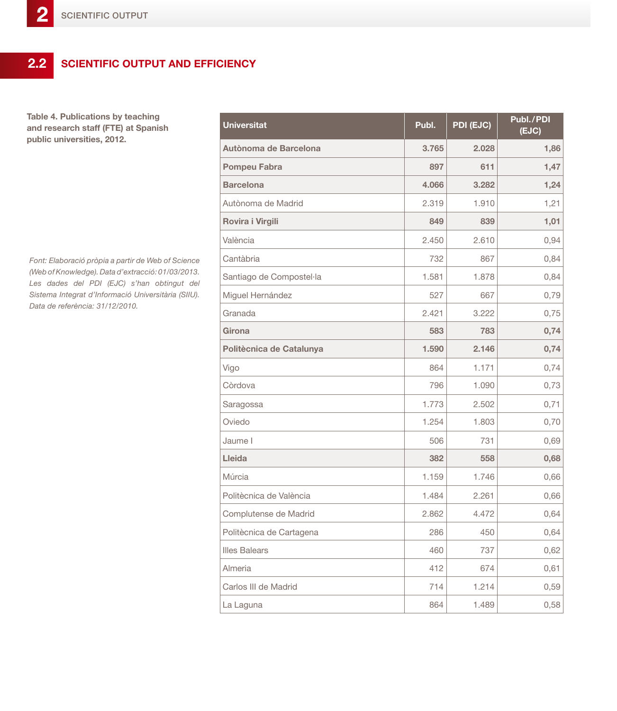# **2.2 Scientific output and efficiency**

**Table 4. Publications by teaching and research staff (FTE) at Spanish public universities, 2012.**

*Font: Elaboració pròpia a partir de Web of Science (Web of Knowledge). Data d'extracció: 01/03/2013. Les dades del PDI (EJC) s'han obtingut del Sistema Integrat d'Informació Universitària (SIIU). Data de referència: 31/12/2010.*

| <b>Universitat</b>       | Publ. | PDI (EJC) | Publ./PDI<br>(EJC) |
|--------------------------|-------|-----------|--------------------|
| Autònoma de Barcelona    | 3.765 | 2.028     | 1,86               |
| <b>Pompeu Fabra</b>      | 897   | 611       | 1,47               |
| <b>Barcelona</b>         | 4.066 | 3.282     | 1,24               |
| Autònoma de Madrid       | 2.319 | 1.910     | 1,21               |
| Rovira i Virgili         | 849   | 839       | 1,01               |
| València                 | 2.450 | 2.610     | 0,94               |
| Cantàbria                | 732   | 867       | 0,84               |
| Santiago de Compostel·la | 1.581 | 1.878     | 0,84               |
| Miguel Hernández         | 527   | 667       | 0,79               |
| Granada                  | 2.421 | 3.222     | 0,75               |
| <b>Girona</b>            | 583   | 783       | 0,74               |
| Politècnica de Catalunya | 1.590 | 2.146     | 0,74               |
| Vigo                     | 864   | 1.171     | 0,74               |
| Còrdova                  | 796   | 1.090     | 0,73               |
| Saragossa                | 1.773 | 2.502     | 0,71               |
| Oviedo                   | 1.254 | 1.803     | 0,70               |
| Jaume I                  | 506   | 731       | 0,69               |
| Lleida                   | 382   | 558       | 0,68               |
| Múrcia                   | 1.159 | 1.746     | 0,66               |
| Politècnica de València  | 1.484 | 2.261     | 0,66               |
| Complutense de Madrid    | 2.862 | 4.472     | 0,64               |
| Politècnica de Cartagena | 286   | 450       | 0,64               |
| <b>Illes Balears</b>     | 460   | 737       | 0,62               |
| Almeria                  | 412   | 674       | 0,61               |
| Carlos III de Madrid     | 714   | 1.214     | 0,59               |
| La Laguna                | 864   | 1.489     | 0,58               |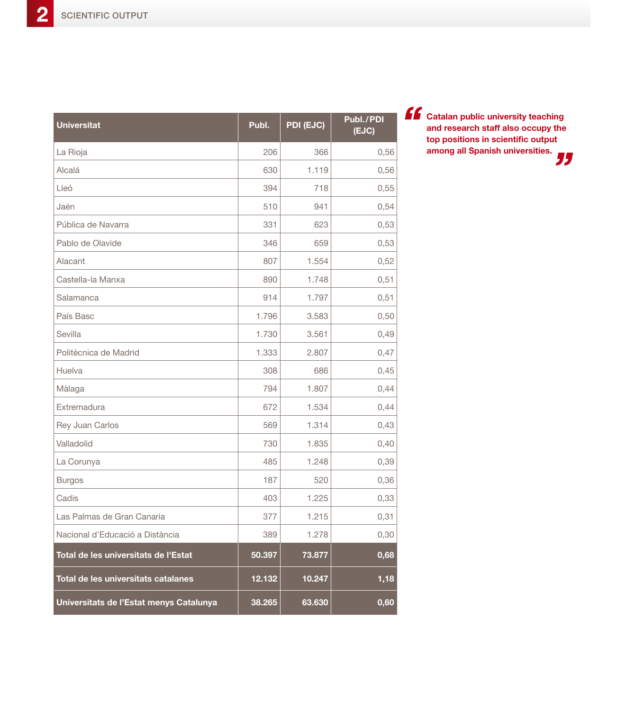| <b>Universitat</b>                      | Publ.  | PDI (EJC) | Publ./PDI<br>(EJC) |
|-----------------------------------------|--------|-----------|--------------------|
| La Rioja                                | 206    | 366       | 0,56               |
| Alcalá                                  | 630    | 1.119     | 0,56               |
| Lleó                                    | 394    | 718       | 0,55               |
| Jaén                                    | 510    | 941       | 0,54               |
| Pública de Navarra                      | 331    | 623       | 0,53               |
| Pablo de Olavide                        | 346    | 659       | 0,53               |
| Alacant                                 | 807    | 1.554     | 0,52               |
| Castella-la Manxa                       | 890    | 1.748     | 0,51               |
| Salamanca                               | 914    | 1.797     | 0,51               |
| País Basc                               | 1.796  | 3.583     | 0,50               |
| Sevilla                                 | 1.730  | 3.561     | 0,49               |
| Politècnica de Madrid                   | 1.333  | 2.807     | 0,47               |
| Huelva                                  | 308    | 686       | 0,45               |
| Màlaga                                  | 794    | 1.807     | 0,44               |
| Extremadura                             | 672    | 1.534     | 0,44               |
| Rey Juan Carlos                         | 569    | 1.314     | 0,43               |
| Valladolid                              | 730    | 1.835     | 0,40               |
| La Corunya                              | 485    | 1.248     | 0,39               |
| <b>Burgos</b>                           | 187    | 520       | 0,36               |
| Cadis                                   | 403    | 1.225     | 0,33               |
| Las Palmas de Gran Canaria              | 377    | 1.215     | 0,31               |
| Nacional d'Educació a Distància         | 389    | 1.278     | 0,30               |
| Total de les universitats de l'Estat    | 50.397 | 73.877    | 0,68               |
| Total de les universitats catalanes     | 12.132 | 10.247    | 1,18               |
| Universitats de l'Estat menys Catalunya | 38.265 | 63.630    | 0,60               |

**Catalan public university teaching and research staff also occupy the top positions in scientific output among all Spanish universities.** "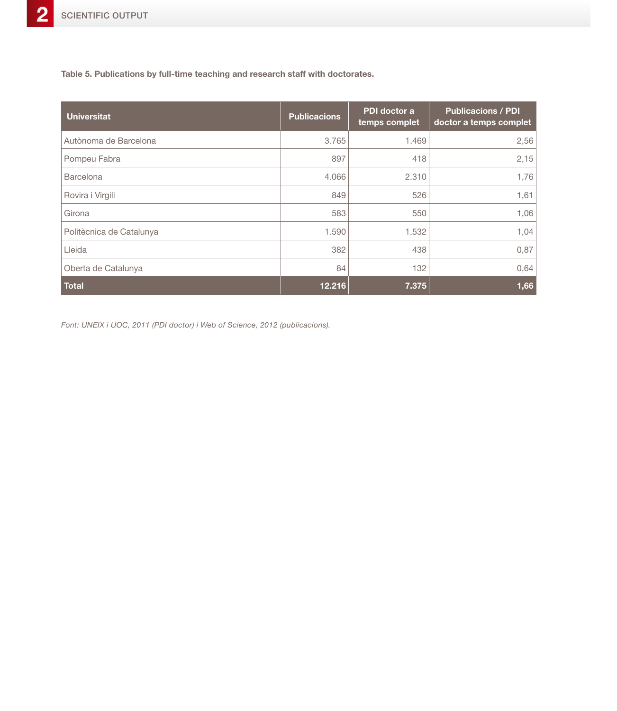**Table 5. Publications by full-time teaching and research staff with doctorates.**

| <b>Universitat</b>       | <b>Publicacions</b> | PDI doctor a<br>temps complet | <b>Publicacions / PDI</b><br>doctor a temps complet |
|--------------------------|---------------------|-------------------------------|-----------------------------------------------------|
| Autònoma de Barcelona    | 3.765               | 1.469                         | 2,56                                                |
| Pompeu Fabra             | 897                 | 418                           | 2,15                                                |
| <b>Barcelona</b>         | 4.066               | 2.310                         | 1,76                                                |
| Rovira i Virgili         | 849                 | 526                           | 1,61                                                |
| Girona                   | 583                 | 550                           | 1,06                                                |
| Politècnica de Catalunya | 1.590               | 1.532                         | 1,04                                                |
| Lleida                   | 382                 | 438                           | 0,87                                                |
| Oberta de Catalunya      | 84                  | 132                           | 0,64                                                |
| <b>Total</b>             | 12.216              | 7.375                         | 1,66                                                |

*Font: UNEIX i UOC, 2011 (PDI doctor) i Web of Science, 2012 (publicacions).*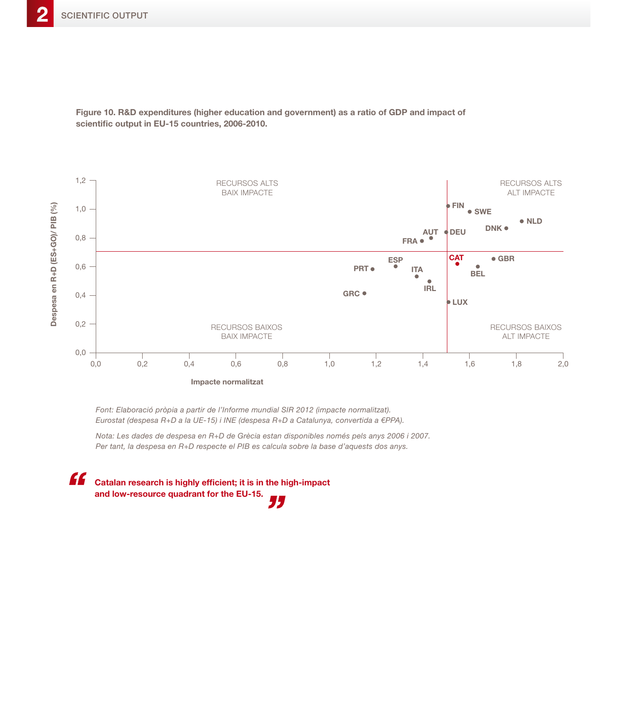

**Figure 10. R&D expenditures (higher education and government) as a ratio of GDP and impact of scientific output in EU-15 countries, 2006-2010.**

*Font: Elaboració pròpia a partir de l'Informe mundial SIR 2012 (impacte normalitzat). Eurostat (despesa R+D a la UE-15) i INE (despesa R+D a Catalunya, convertida a €PPA).*

*Nota: Les dades de despesa en R+D de Grècia estan disponibles només pels anys 2006 i 2007. Per tant, la despesa en R+D respecte el PIB es calcula sobre la base d'aquests dos anys.*

" **Catalan research is highly efficient; it is in the high-impact and low-resource quadrant for the EU-15.** 75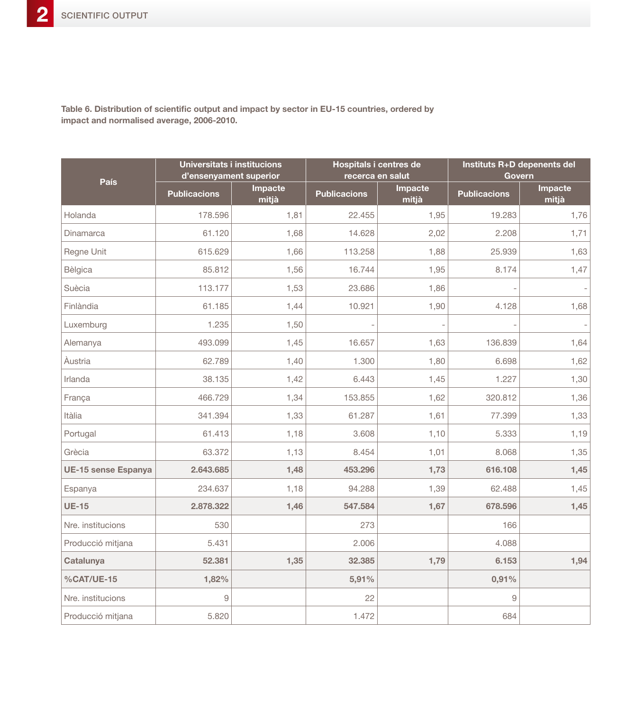**Table 6. Distribution of scientific output and impact by sector in EU-15 countries, ordered by impact and normalised average, 2006-2010.**

| País                       | <b>Universitats i institucions</b><br>d'ensenyament superior |                  | <b>Hospitals i centres de</b><br>recerca en salut |                  | Instituts R+D depenents del | <b>Govern</b>    |
|----------------------------|--------------------------------------------------------------|------------------|---------------------------------------------------|------------------|-----------------------------|------------------|
|                            | <b>Publicacions</b>                                          | Impacte<br>mitjà | <b>Publicacions</b>                               | Impacte<br>mitjà | <b>Publicacions</b>         | Impacte<br>mitjà |
| Holanda                    | 178.596                                                      | 1,81             | 22.455                                            | 1,95             | 19.283                      | 1,76             |
| Dinamarca                  | 61.120                                                       | 1,68             | 14.628                                            | 2,02             | 2.208                       | 1,71             |
| Regne Unit                 | 615.629                                                      | 1,66             | 113.258                                           | 1,88             | 25.939                      | 1,63             |
| Bèlgica                    | 85.812                                                       | 1,56             | 16.744                                            | 1,95             | 8.174                       | 1,47             |
| Suècia                     | 113.177                                                      | 1,53             | 23.686                                            | 1,86             |                             |                  |
| Finlàndia                  | 61.185                                                       | 1,44             | 10.921                                            | 1,90             | 4.128                       | 1,68             |
| Luxemburg                  | 1.235                                                        | 1,50             |                                                   |                  |                             |                  |
| Alemanya                   | 493.099                                                      | 1,45             | 16.657                                            | 1,63             | 136.839                     | 1,64             |
| Àustria                    | 62.789                                                       | 1,40             | 1.300                                             | 1,80             | 6.698                       | 1,62             |
| Irlanda                    | 38.135                                                       | 1,42             | 6.443                                             | 1,45             | 1.227                       | 1,30             |
| França                     | 466.729                                                      | 1,34             | 153.855                                           | 1,62             | 320.812                     | 1,36             |
| Itàlia                     | 341.394                                                      | 1,33             | 61.287                                            | 1,61             | 77.399                      | 1,33             |
| Portugal                   | 61.413                                                       | 1,18             | 3.608                                             | 1,10             | 5.333                       | 1,19             |
| Grècia                     | 63.372                                                       | 1,13             | 8.454                                             | 1,01             | 8.068                       | 1,35             |
| <b>UE-15 sense Espanya</b> | 2.643.685                                                    | 1,48             | 453.296                                           | 1,73             | 616.108                     | 1,45             |
| Espanya                    | 234.637                                                      | 1,18             | 94.288                                            | 1,39             | 62.488                      | 1,45             |
| <b>UE-15</b>               | 2.878.322                                                    | 1,46             | 547.584                                           | 1,67             | 678.596                     | 1,45             |
| Nre. institucions          | 530                                                          |                  | 273                                               |                  | 166                         |                  |
| Producció mitjana          | 5.431                                                        |                  | 2.006                                             |                  | 4.088                       |                  |
| Catalunya                  | 52,381                                                       | 1,35             | 32.385                                            | 1,79             | 6.153                       | 1,94             |
| %CAT/UE-15                 | 1,82%                                                        |                  | 5,91%                                             |                  | 0,91%                       |                  |
| Nre. institucions          | 9                                                            |                  | 22                                                |                  | 9                           |                  |
| Producció mitjana          | 5.820                                                        |                  | 1.472                                             |                  | 684                         |                  |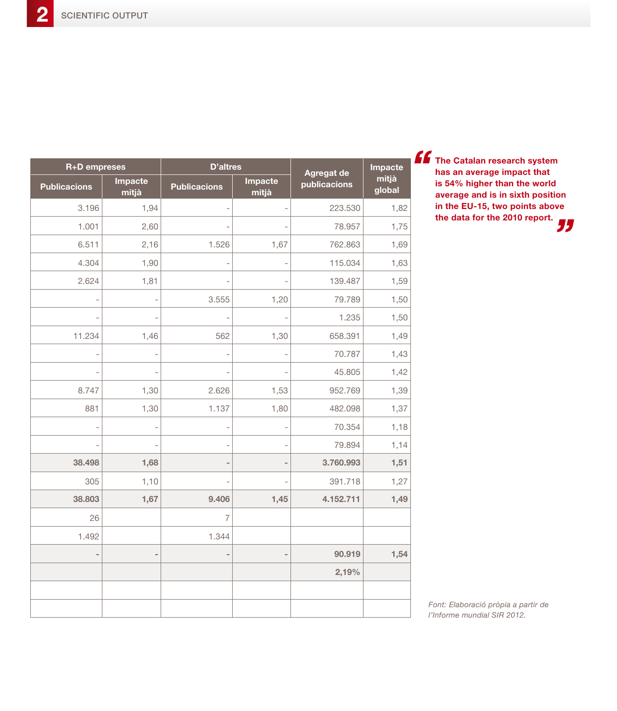**The Catalan research system has an average impact that is 54% higher than the world average and is in sixth position in the EU-15, two points above the data for the 2010 report.** 

| R+D empreses        |                  | <b>D'altres</b>     |                          | Agregat de   | Impacte         |
|---------------------|------------------|---------------------|--------------------------|--------------|-----------------|
| <b>Publicacions</b> | Impacte<br>mitjà | <b>Publicacions</b> | Impacte<br>mitjà         | publicacions | mitjà<br>global |
| 3.196               | 1,94             |                     | $\overline{\phantom{0}}$ | 223.530      | 1,82            |
| 1.001               | 2,60             |                     | $\overline{\phantom{0}}$ | 78.957       | 1,75            |
| 6.511               | 2,16             | 1.526               | 1,67                     | 762.863      | 1,69            |
| 4.304               | 1,90             |                     | $\overline{\phantom{0}}$ | 115.034      | 1,63            |
| 2.624               | 1,81             |                     | Ē,                       | 139.487      | 1,59            |
|                     |                  | 3.555               | 1,20                     | 79.789       | 1,50            |
|                     |                  |                     |                          | 1.235        | 1,50            |
| 11.234              | 1,46             | 562                 | 1,30                     | 658.391      | 1,49            |
|                     |                  |                     | $\overline{a}$           | 70.787       | 1,43            |
|                     |                  |                     |                          | 45.805       | 1,42            |
| 8.747               | 1,30             | 2.626               | 1,53                     | 952.769      | 1,39            |
| 881                 | 1,30             | 1.137               | 1,80                     | 482.098      | 1,37            |
|                     |                  |                     | J.                       | 70.354       | 1,18            |
|                     |                  |                     | $\overline{\phantom{0}}$ | 79.894       | 1,14            |
| 38.498              | 1,68             |                     | $\overline{\phantom{0}}$ | 3.760.993    | 1,51            |
| 305                 | 1,10             |                     |                          | 391.718      | 1,27            |
| 38.803              | 1,67             | 9.406               | 1,45                     | 4.152.711    | 1,49            |
| 26                  |                  | $\overline{7}$      |                          |              |                 |
| 1.492               |                  | 1.344               |                          |              |                 |
| $\blacksquare$      |                  |                     | $\overline{\phantom{a}}$ | 90.919       | 1,54            |
|                     |                  |                     |                          | 2,19%        |                 |
|                     |                  |                     |                          |              |                 |
|                     |                  |                     |                          |              |                 |

*Font: Elaboració pròpia a partir de l'Informe mundial SIR 2012.*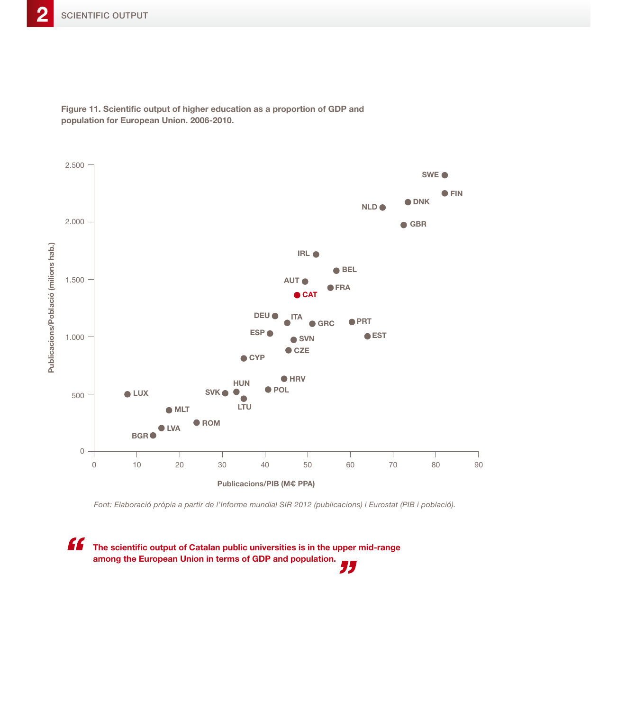

**Figure 11. Scientific output of higher education as a proportion of GDP and population for European Union. 2006-2010.** 

*Font: Elaboració pròpia a partir de l'Informe mundial SIR 2012 (publicacions) i Eurostat (PIB i població).*

" **The scientific output of Catalan public universities is in the upper mid-range among the European Union in terms of GDP and population.** "